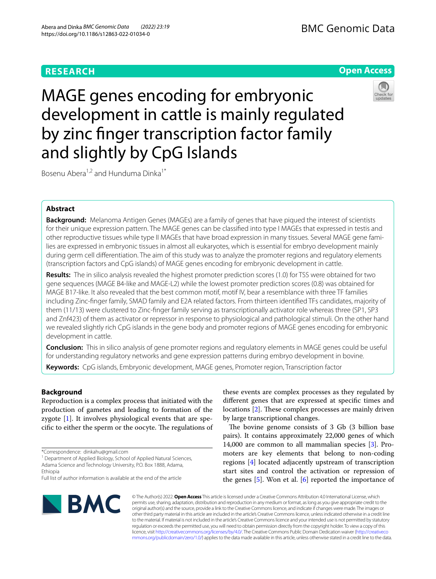# **RESEARCH**

## **Open Access**



Bosenu Abera<sup>1,2</sup> and Hunduma Dinka<sup>1\*</sup>

## **Abstract**

**Background:** Melanoma Antigen Genes (MAGEs) are a family of genes that have piqued the interest of scientists for their unique expression pattern. The MAGE genes can be classifed into type I MAGEs that expressed in testis and other reproductive tissues while type II MAGEs that have broad expression in many tissues. Several MAGE gene families are expressed in embryonic tissues in almost all eukaryotes, which is essential for embryo development mainly during germ cell diferentiation. The aim of this study was to analyze the promoter regions and regulatory elements (transcription factors and CpG islands) of MAGE genes encoding for embryonic development in cattle.

**Results:** The in silico analysis revealed the highest promoter prediction scores (1.0) for TSS were obtained for two gene sequences (MAGE B4-like and MAGE-L2) while the lowest promoter prediction scores (0.8) was obtained for MAGE B17-like. It also revealed that the best common motif, motif IV, bear a resemblance with three TF families including Zinc-fnger family, SMAD family and E2A related factors. From thirteen identifed TFs candidates, majority of them (11/13) were clustered to Zinc-fnger family serving as transcriptionally activator role whereas three (SP1, SP3 and Znf423) of them as activator or repressor in response to physiological and pathological stimuli. On the other hand we revealed slightly rich CpG islands in the gene body and promoter regions of MAGE genes encoding for embryonic development in cattle.

**Conclusion:** This in silico analysis of gene promoter regions and regulatory elements in MAGE genes could be useful for understanding regulatory networks and gene expression patterns during embryo development in bovine.

**Keywords:** CpG islands, Embryonic development, MAGE genes, Promoter region, Transcription factor

## **Background**

Reproduction is a complex process that initiated with the production of gametes and leading to formation of the zygote [[1\]](#page-6-0). It involves physiological events that are specific to either the sperm or the oocyte. The regulations of these events are complex processes as they regulated by diferent genes that are expressed at specifc times and locations  $[2]$  $[2]$ . These complex processes are mainly driven by large transcriptional changes.

The bovine genome consists of 3 Gb (3 billion base pairs). It contains approximately 22,000 genes of which 14,000 are common to all mammalian species [\[3](#page-6-2)]. Promoters are key elements that belong to non-coding regions [[4](#page-6-3)] located adjacently upstream of transcription start sites and control the activation or repression of the genes  $[5]$  $[5]$ . Won et al.  $[6]$  $[6]$  reported the importance of



© The Author(s) 2022. **Open Access** This article is licensed under a Creative Commons Attribution 4.0 International License, which permits use, sharing, adaptation, distribution and reproduction in any medium or format, as long as you give appropriate credit to the original author(s) and the source, provide a link to the Creative Commons licence, and indicate if changes were made. The images or other third party material in this article are included in the article's Creative Commons licence, unless indicated otherwise in a credit line to the material. If material is not included in the article's Creative Commons licence and your intended use is not permitted by statutory regulation or exceeds the permitted use, you will need to obtain permission directly from the copyright holder. To view a copy of this licence, visit [http://creativecommons.org/licenses/by/4.0/.](http://creativecommons.org/licenses/by/4.0/) The Creative Commons Public Domain Dedication waiver ([http://creativeco](http://creativecommons.org/publicdomain/zero/1.0/) [mmons.org/publicdomain/zero/1.0/](http://creativecommons.org/publicdomain/zero/1.0/)) applies to the data made available in this article, unless otherwise stated in a credit line to the data.

<sup>\*</sup>Correspondence: dinkahu@gmail.com

<sup>&</sup>lt;sup>1</sup> Department of Applied Biology, School of Applied Natural Sciences, Adama Science and Technology University, P.O. Box 1888, Adama, Ethiopia

Full list of author information is available at the end of the article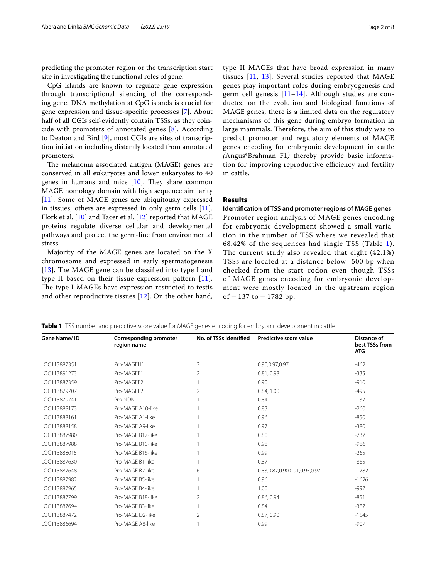predicting the promoter region or the transcription start site in investigating the functional roles of gene.

CpG islands are known to regulate gene expression through transcriptional silencing of the corresponding gene. DNA methylation at CpG islands is crucial for gene expression and tissue-specifc processes [\[7\]](#page-6-6). About half of all CGIs self-evidently contain TSSs, as they coincide with promoters of annotated genes [[8\]](#page-6-7). According to Deaton and Bird [\[9](#page-6-8)], most CGIs are sites of transcription initiation including distantly located from annotated promoters.

The melanoma associated antigen (MAGE) genes are conserved in all eukaryotes and lower eukaryotes to 40 genes in humans and mice  $[10]$  $[10]$ . They share common MAGE homology domain with high sequence similarity [[11\]](#page-7-0). Some of MAGE genes are ubiquitously expressed in tissues; others are expressed in only germ cells [\[11](#page-7-0)]. Flork et al. [[10\]](#page-6-9) and Tacer et al. [\[12](#page-7-1)] reported that MAGE proteins regulate diverse cellular and developmental pathways and protect the germ-line from environmental stress.

Majority of the MAGE genes are located on the X chromosome and expressed in early spermatogenesis [ $13$ ]. The MAGE gene can be classified into type I and type II based on their tissue expression pattern [[11\]](#page-7-0). The type I MAGEs have expression restricted to testis and other reproductive tissues  $[12]$  $[12]$ . On the other hand, type II MAGEs that have broad expression in many tissues [[11,](#page-7-0) [13\]](#page-7-2). Several studies reported that MAGE genes play important roles during embryogenesis and germ cell genesis  $[11-14]$  $[11-14]$  $[11-14]$ . Although studies are conducted on the evolution and biological functions of MAGE genes, there is a limited data on the regulatory mechanisms of this gene during embryo formation in large mammals. Therefore, the aim of this study was to predict promoter and regulatory elements of MAGE genes encoding for embryonic development in cattle *(*Angus\*Brahman F1*)* thereby provide basic information for improving reproductive efficiency and fertility in cattle.

## **Results**

**Identifcation of TSS and promoter regions of MAGE genes**

Promoter region analysis of MAGE genes encoding for embryonic development showed a small variation in the number of TSS where we revealed that 68.42% of the sequences had single TSS (Table [1\)](#page-1-0). The current study also revealed that eight (42.1%) TSSs are located at a distance below -500 bp when checked from the start codon even though TSSs of MAGE genes encoding for embryonic development were mostly located in the upstream region of − 137 to − 1782 bp.

<span id="page-1-0"></span>**Table 1** TSS number and predictive score value for MAGE genes encoding for embryonic development in cattle

| Gene Name/ ID | <b>Corresponding promoter</b><br>region name | No. of TSSs identified | Predictive score value             | Distance of<br>best TSSs from<br><b>ATG</b> |
|---------------|----------------------------------------------|------------------------|------------------------------------|---------------------------------------------|
| LOC113887351  | Pro-MAGEH1                                   | 3                      | 0.90,0.97,0.97                     | $-462$                                      |
| LOC113891273  | Pro-MAGEF1                                   | 2                      | 0.81, 0.98                         | $-335$                                      |
| LOC113887359  | Pro-MAGEE2                                   |                        | 0.90                               | $-910$                                      |
| LOC113879707  | Pro-MAGFL2                                   | $\mathcal{P}$          | 0.84, 1.00                         | $-495$                                      |
| LOC113879741  | Pro-NDN                                      |                        | 0.84                               | $-137$                                      |
| LOC113888173  | Pro-MAGF A10-like                            |                        | 0.83                               | $-260$                                      |
| LOC113888161  | Pro-MAGF A1-like                             |                        | 0.96                               | $-850$                                      |
| LOC113888158  | Pro-MAGE A9-like                             |                        | 0.97                               | $-380$                                      |
| LOC113887980  | Pro-MAGE B17-like                            |                        | 0.80                               | $-737$                                      |
| LOC113887988  | Pro-MAGE B10-like                            |                        | 0.98                               | $-986$                                      |
| LOC113888015  | Pro-MAGE B16-like                            |                        | 0.99                               | $-265$                                      |
| LOC113887630  | Pro-MAGE B1-like                             |                        | 0.87                               | $-865$                                      |
| LOC113887648  | Pro-MAGE B2-like                             | 6                      | 0.83, 0.87, 0.90, 0.91, 0.95, 0.97 | $-1782$                                     |
| LOC113887982  | Pro-MAGE B5-like                             |                        | 0.96                               | $-1626$                                     |
| LOC113887965  | Pro-MAGE B4-like                             |                        | 1.00                               | $-997$                                      |
| LOC113887799  | Pro-MAGE B18-like                            | $\overline{2}$         | 0.86, 0.94                         | $-851$                                      |
| LOC113887694  | Pro-MAGE B3-like                             |                        | 0.84                               | $-387$                                      |
| LOC113887472  | Pro-MAGE D2-like                             | C.                     | 0.87, 0.90                         | $-1545$                                     |
| LOC113886694  | Pro-MAGE A8-like                             |                        | 0.99                               | $-907$                                      |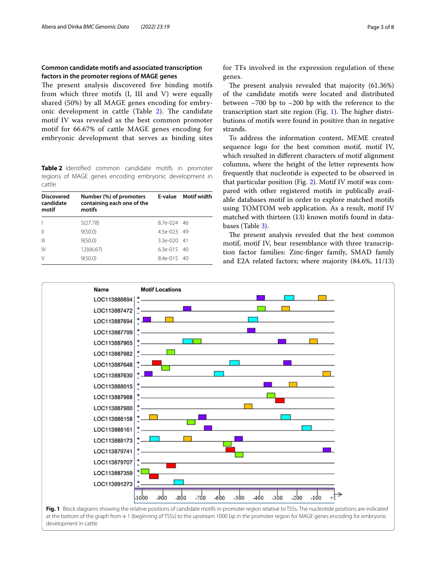## **Common candidate motifs and associated transcription factors in the promoter regions of MAGE genes**

The present analysis discovered five binding motifs from which three motifs (I, III and V) were equally shared (50%) by all MAGE genes encoding for embry-onic development in cattle (Table [2](#page-2-0)). The candidate motif IV was revealed as the best common promoter motif for 66.67% of cattle MAGE genes encoding for embryonic development that serves as binding sites

<span id="page-2-0"></span>**Table 2** Identifed common candidate motifs in promoter regions of MAGE genes encoding embryonic development in cattle

| <b>Discovered</b><br>candidate<br>motif | Number (%) of promoters<br>containing each one of the<br>motifs |               | E-value Motif width |
|-----------------------------------------|-----------------------------------------------------------------|---------------|---------------------|
|                                         | 5(27.78)                                                        | 8.7e-024 46   |                     |
| $\mathbb{I}$                            | 9(50.0)                                                         | 4.5e-023 49   |                     |
| $\mathbb{H}$                            | 9(50.0)                                                         | $3.3e-0.2041$ |                     |
| 1V                                      | 12(66.67)                                                       | $6.3e-015$ 40 |                     |
| $\vee$                                  | 9(50.0)                                                         | 8.4e-015 40   |                     |

for TFs involved in the expression regulation of these genes.

The present analysis revealed that majority (61.36%) of the candidate motifs were located and distributed between  $-700$  bp to  $-200$  bp with the reference to the transcription start site region (Fig.  $1$ ). The higher distributions of motifs were found in positive than in negative strands.

To address the information content, MEME created sequence logo for the best common motif, motif IV, which resulted in diferent characters of motif alignment columns, where the height of the letter represents how frequently that nucleotide is expected to be observed in that particular position (Fig. [2\)](#page-3-0). Motif IV motif was compared with other registered motifs in publically available databases motif in order to explore matched motifs using TOMTOM web application. As a result, motif IV matched with thirteen (13) known motifs found in databases (Table [3\)](#page-3-1).

The present analysis revealed that the best common motif, motif IV, bear resemblance with three transcription factor families: Zinc-fnger family, SMAD family and E2A related factors; where majority (84.6%, 11/13)



<span id="page-2-1"></span>development in cattle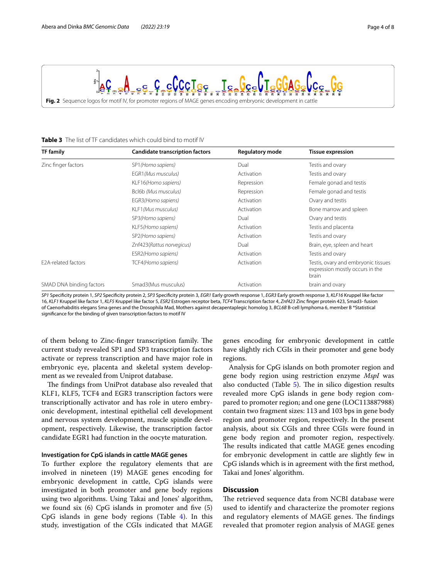<span id="page-3-0"></span>

<span id="page-3-1"></span>**Table 3** The list of TF candidates which could bind to motif IV

| <b>TF</b> family         | <b>Candidate transcription factors</b> | <b>Regulatory mode</b> | <b>Tissue expression</b>                                                        |
|--------------------------|----------------------------------------|------------------------|---------------------------------------------------------------------------------|
| Zinc finger factors      | SP1 (Homo sapiens)                     | Dual                   | Testis and ovary                                                                |
|                          | EGR1 (Mus musculus)                    | Activation             | Testis and ovary                                                                |
|                          | KLF16(Homo sapiens)                    | Repression             | Female gonad and testis                                                         |
|                          | Bcl6b (Mus musculus)                   | Repression             | Female gonad and testis                                                         |
|                          | EGR3(Homo sapiens)                     | Activation             | Ovary and testis                                                                |
|                          | KLF1 (Mus musculus)                    | Activation             | Bone marrow and spleen                                                          |
|                          | SP3(Homo sapiens)                      | Dual                   | Ovary and testis                                                                |
|                          | KLF5(Homo sapiens)                     | Activation             | Testis and placenta                                                             |
|                          | SP2(Homo sapiens)                      | Activation             | Testis and ovary                                                                |
|                          | Znf423(Rattus norvegicus)              | Dual                   | Brain, eye, spleen and heart                                                    |
|                          | ESR2(Homo sapiens)                     | Activation             | Testis and ovary                                                                |
| E2A-related factors      | TCF4(Homo sapiens)                     | Activation             | Testis, ovary and embryonic tissues<br>expression mostly occurs in the<br>brain |
| SMAD DNA binding factors | Smad3(Mus musculus)                    | Activation             | brain and ovary                                                                 |

*SP1* Specifcity protein 1, *SP2* Specifcity protein 2, *SP3* Specifcity protein 3, *EGR1* Early growth response 1, *EGR3* Early growth response 3, *KLF16* Kruppel like factor 16, *KLF1* Kruppel like factor 1, *KLF5* Kruppel like factor 5, *ESR2* Estrogen receptor beta, *TCF4* Transcription factor 4, *Znf423* Zinc fnger protein 423, Smad3- fusion of Caenorhabditis elegans Sma genes and the Drosophila Mad, Mothers against decapentaplegic homolog 3, *BCL6B* B-cell lymphoma 6, member B \*Statistical signifcance for the binding of given transcription factors to motif IV

of them belong to Zinc-finger transcription family. The current study revealed SP1 and SP3 transcription factors activate or repress transcription and have major role in embryonic eye, placenta and skeletal system development as we revealed from Uniprot database.

The findings from UniProt database also revealed that KLF1, KLF5, TCF4 and EGR3 transcription factors were transcriptionally activator and has role in utero embryonic development, intestinal epithelial cell development and nervous system development, muscle spindle development, respectively. Likewise, the transcription factor candidate EGR1 had function in the oocyte maturation.

#### **Investigation for CpG islands in cattle MAGE genes**

To further explore the regulatory elements that are involved in nineteen (19) MAGE genes encoding for embryonic development in cattle, CpG islands were investigated in both promoter and gene body regions using two algorithms. Using Takai and Jones' algorithm, we found six  $(6)$  CpG islands in promoter and five  $(5)$ CpG islands in gene body regions (Table [4](#page-4-0)). In this study, investigation of the CGIs indicated that MAGE genes encoding for embryonic development in cattle have slightly rich CGIs in their promoter and gene body regions.

Analysis for CpG islands on both promoter region and gene body region using restriction enzyme *MspI* was also conducted (Table  $5$ ). The in silico digestion results revealed more CpG islands in gene body region compared to promoter region; and one gene (LOC113887988) contain two fragment sizes: 113 and 103 bps in gene body region and promoter region, respectively. In the present analysis, about six CGIs and three CGIs were found in gene body region and promoter region, respectively. The results indicated that cattle MAGE genes encoding for embryonic development in cattle are slightly few in CpG islands which is in agreement with the frst method, Takai and Jones' algorithm.

### **Discussion**

The retrieved sequence data from NCBI database were used to identify and characterize the promoter regions and regulatory elements of MAGE genes. The findings revealed that promoter region analysis of MAGE genes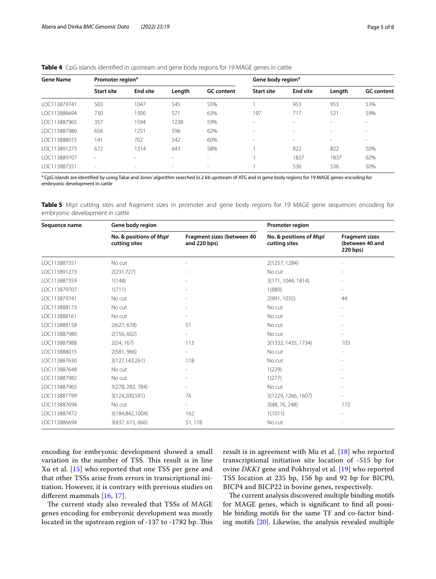| <b>Gene Name</b> | Promoter region <sup>a</sup> |                          |        |                          | Gene body region <sup>a</sup> |                          |        |                   |
|------------------|------------------------------|--------------------------|--------|--------------------------|-------------------------------|--------------------------|--------|-------------------|
|                  | <b>Start site</b>            | <b>End site</b>          | Length | <b>GC</b> content        | <b>Start site</b>             | <b>End site</b>          | Length | <b>GC</b> content |
| LOC113879741     | 503                          | 1047                     | 545    | 55%                      |                               | 953                      | 953    | 53%               |
| LOC113886694     | 730                          | 1300                     | 571    | 63%                      | 197                           | 717                      | 521    | 59%               |
| IOC113887965     | 357                          | 1594                     | 1238   | 59%                      | $\overline{\phantom{a}}$      | ٠                        | $\sim$ |                   |
| LOC113887980     | 656                          | 1251                     | 596    | 62%                      | $\overline{\phantom{a}}$      | $\overline{\phantom{a}}$ | $\sim$ |                   |
| LOC113888015     | 141                          | 702                      | 542    | 60%                      | $\overline{\phantom{a}}$      | $\overline{\phantom{a}}$ | $\sim$ | $\sim$            |
| IOC113891273     | 672                          | 1314                     | 643    | 58%                      |                               | 822                      | 822    | 50%               |
| LOC113889707     | $\overline{\phantom{a}}$     | $\overline{\phantom{a}}$ | -      | $\overline{\phantom{a}}$ |                               | 1837                     | 1837   | 62%               |
| LOC113887351     | -                            |                          | -      | $\overline{\phantom{a}}$ |                               | 536                      | 536    | 50%               |

<span id="page-4-0"></span>**Table 4** CpG islands identifed in upstream and gene body regions for 19 MAGE genes in cattle

<sup>a</sup> CpG islands are identified by using Takai and Jones' algorithm searched in 2 kb upstream of ATG and in gene body regions for 19 MAGE genes encoding for embryonic development in cattle

<span id="page-4-1"></span>**Table 5** *MspI* cutting sites and fragment sizes in promoter and gene body regions for 19 MAGE gene sequences encoding for embryonic development in cattle

| Sequence name | Gene body region                         |                                            | Promoter region                          |                                                      |  |
|---------------|------------------------------------------|--------------------------------------------|------------------------------------------|------------------------------------------------------|--|
|               | No. & positions of Mspl<br>cutting sites | Fragment sizes (between 40<br>and 220 bps) | No. & positions of Mspl<br>cutting sites | <b>Fragment sizes</b><br>(between 40 and<br>220 bps) |  |
| IOC113887351  | No cut                                   |                                            | 2(1257, 1284)                            |                                                      |  |
| LOC113891273  | 2(231,727)                               |                                            | No cut                                   |                                                      |  |
| LOC113887359  | 1(148)                                   |                                            | 3(171, 1044, 1814)                       |                                                      |  |
| LOC113879707  | 1(711)                                   |                                            | 1(880)                                   |                                                      |  |
| LOC113879741  | No cut                                   |                                            | 2(991, 1035)                             | 44                                                   |  |
| LOC113888173  | No cut                                   |                                            | No cut                                   |                                                      |  |
| LOC113888161  | No cut                                   |                                            | No cut                                   |                                                      |  |
| LOC113888158  | 2(627, 678)                              | 51                                         | No cut                                   |                                                      |  |
| LOC113887980  | 2(156, 602)                              | $\overline{\phantom{0}}$                   | No cut                                   |                                                      |  |
| LOC113887988  | 2(54, 167)                               | 113                                        | 3(1332, 1435, 1734)                      | 103                                                  |  |
| LOC113888015  | 2(581, 966)                              |                                            | No cut                                   |                                                      |  |
| LOC113887630  | 3(127,143,261)                           | 118                                        | No cut                                   |                                                      |  |
| LOC113887648  | No cut                                   |                                            | 1(229)                                   |                                                      |  |
| LOC113887982  | No cut                                   |                                            | 1(277)                                   |                                                      |  |
| LOC113887965  | 3(278, 282, 784)                         |                                            | No cut                                   |                                                      |  |
| LOC113887799  | 3(124,200,581)                           | 76                                         | 3(1229, 1266, 1607)                      |                                                      |  |
| LOC113887694  | No cut                                   |                                            | 3(48, 76, 248)                           | 172                                                  |  |
| LOC113887472  | 3(184,842,1004)                          | 162                                        | 1(1011)                                  |                                                      |  |
| LOC113886694  | 3(437, 615, 666)                         | 51, 178                                    | No cut                                   |                                                      |  |

encoding for embryonic development showed a small variation in the number of TSS. This result is in line Xu et al. [\[15](#page-7-4)] who reported that one TSS per gene and that other TSSs arise from errors in transcriptional initiation. However, it is contrary with previous studies on diferent mammals [[16,](#page-7-5) [17\]](#page-7-6).

The current study also revealed that TSSs of MAGE genes encoding for embryonic development was mostly located in the upstream region of -137 to -1782 bp. This result is in agreement with Mu et al. [[18](#page-7-7)] who reported transcriptional initiation site location of -515 bp for ovine *DKK1* gene and Pokhriyal et al. [[19](#page-7-8)] who reported TSS location at 235 bp, 156 bp and 92 bp for BICP0, BICP4 and BICP22 in bovine genes, respectively.

The current analysis discovered multiple binding motifs for MAGE genes, which is signifcant to fnd all possible binding motifs for the same TF and co-factor binding motifs [[20\]](#page-7-9). Likewise, the analysis revealed multiple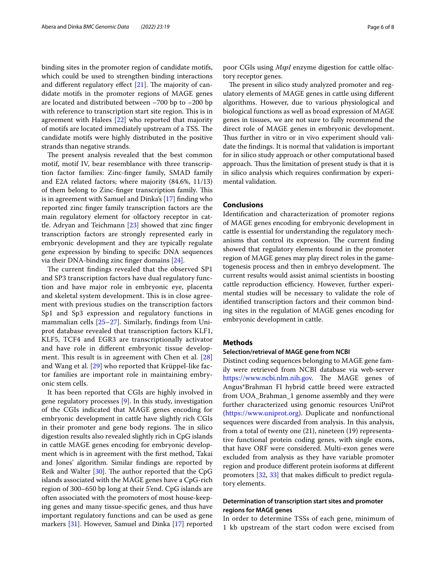binding sites in the promoter region of candidate motifs, which could be used to strengthen binding interactions and different regulatory effect  $[21]$  $[21]$ . The majority of candidate motifs in the promoter regions of MAGE genes are located and distributed between –700 bp to –200 bp with reference to transcription start site region. This is in agreement with Halees [\[22](#page-7-11)] who reported that majority of motifs are located immediately upstream of a TSS. The candidate motifs were highly distributed in the positive strands than negative strands.

The present analysis revealed that the best common motif, motif IV, bear resemblance with three transcription factor families: Zinc-fnger family, SMAD family and E2A related factors; where majority (84.6%, 11/13) of them belong to Zinc-finger transcription family. This is in agreement with Samuel and Dinka's [[17](#page-7-6)] fnding who reported zinc fnger family transcription factors are the main regulatory element for olfactory receptor in cattle. Adryan and Teichmann [[23\]](#page-7-12) showed that zinc fnger transcription factors are strongly represented early in embryonic development and they are typically regulate gene expression by binding to specifc DNA sequences via their DNA-binding zinc fnger domains [\[24](#page-7-13)].

The current findings revealed that the observed SP1 and SP3 transcription factors have dual regulatory function and have major role in embryonic eye, placenta and skeletal system development. This is in close agreement with previous studies on the transcription factors Sp1 and Sp3 expression and regulatory functions in mammalian cells [\[25](#page-7-14)[–27](#page-7-15)]. Similarly, findings from Uniprot database revealed that transcription factors KLF1, KLF5, TCF4 and EGR3 are transcriptionally activator and have role in diferent embryonic tissue development. This result is in agreement with Chen et al.  $[28]$  $[28]$ and Wang et al. [[29\]](#page-7-17) who reported that Krüppel-like factor families are important role in maintaining embryonic stem cells.

It has been reported that CGIs are highly involved in gene regulatory processes [[9\]](#page-6-8). In this study, investigation of the CGIs indicated that MAGE genes encoding for embryonic development in cattle have slightly rich CGIs in their promoter and gene body regions. The in silico digestion results also revealed slightly rich in CpG islands in cattle MAGE genes encoding for embryonic development which is in agreement with the frst method, Takai and Jones' algorithm. Similar fndings are reported by Reik and Walter  $[30]$ . The author reported that the CpG islands associated with the MAGE genes have a CpG-rich region of 300–650 bp long at their 5'end. CpG islands are often associated with the promoters of most house-keeping genes and many tissue-specifc genes, and thus have important regulatory functions and can be used as gene markers [\[31](#page-7-19)]. However, Samuel and Dinka [[17\]](#page-7-6) reported

poor CGIs using *MspI* enzyme digestion for cattle olfactory receptor genes.

The present in silico study analyzed promoter and regulatory elements of MAGE genes in cattle using diferent algorithms. However, due to various physiological and biological functions as well as broad expression of MAGE genes in tissues, we are not sure to fully recommend the direct role of MAGE genes in embryonic development. Thus further in vitro or in vivo experiment should validate the fndings. It is normal that validation is important for in silico study approach or other computational based approach. Thus the limitation of present study is that it is in silico analysis which requires confrmation by experimental validation.

### **Conclusions**

Identifcation and characterization of promoter regions of MAGE genes encoding for embryonic development in cattle is essential for understanding the regulatory mechanisms that control its expression. The current finding showed that regulatory elements found in the promoter region of MAGE genes may play direct roles in the gametogenesis process and then in embryo development. The current results would assist animal scientists in boosting cattle reproduction efficiency. However, further experimental studies will be necessary to validate the role of identifed transcription factors and their common binding sites in the regulation of MAGE genes encoding for embryonic development in cattle.

#### **Methods**

#### **Selection/retrieval of MAGE gene from NCBI**

Distinct coding sequences belonging to MAGE gene family were retrieved from NCBI database via web-server <https://www.ncbi.nlm.nih.gov>. The MAGE genes of Angus\*Brahman FI hybrid cattle breed were extracted from UOA\_Brahman\_1 genome assembly and they were further characterized using genomic resources UniProt ([https://www.uniprot.org\)](https://www.uniprot.org). Duplicate and nonfunctional sequences were discarded from analysis. In this analysis, from a total of twenty one (21), nineteen (19) representative functional protein coding genes, with single exons, that have ORF were considered. Multi-exon genes were excluded from analysis as they have variable promoter region and produce diferent protein isoforms at diferent promoters  $[32, 33]$  $[32, 33]$  $[32, 33]$  $[32, 33]$  that makes difficult to predict regulatory elements.

## **Determination of transcription start sites and promoter regions for MAGE genes**

In order to determine TSSs of each gene, minimum of 1 kb upstream of the start codon were excised from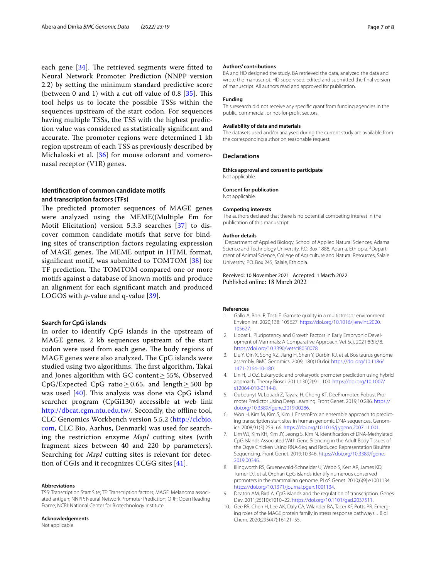each gene [[34\]](#page-7-22). The retrieved segments were fitted to Neural Network Promoter Prediction (NNPP version 2.2) by setting the minimum standard predictive score (between 0 and 1) with a cut off value of 0.8  $[35]$  $[35]$ . This tool helps us to locate the possible TSSs within the sequences upstream of the start codon. For sequences having multiple TSSs, the TSS with the highest prediction value was considered as statistically signifcant and accurate. The promoter regions were determined 1 kb region upstream of each TSS as previously described by Michaloski et al. [[36\]](#page-7-24) for mouse odorant and vomeronasal receptor (V1R) genes.

## **Identifcation of common candidate motifs and transcription factors (TFs)**

The predicted promoter sequences of MAGE genes were analyzed using the MEME((Multiple Em for Motif Elicitation) version 5.3.3 searches [\[37\]](#page-7-25) to discover common candidate motifs that serve for binding sites of transcription factors regulating expression of MAGE genes. The MEME output in HTML format, signifcant motif, was submitted to TOMTOM [[38](#page-7-26)] for TF prediction. The TOMTOM compared one or more motifs against a database of known motifs and produce an alignment for each signifcant match and produced LOGOS with *p*-value and q-value [[39\]](#page-7-27).

### **Search for CpG islands**

In order to identify CpG islands in the upstream of MAGE genes, 2 kb sequences upstream of the start codon were used from each gene. The body regions of MAGE genes were also analyzed. The CpG islands were studied using two algorithms. The first algorithm, Takai and Jones algorithm with GC content  $\geq$  55%, Observed CpG/Expected CpG ratio  $\geq$  0.65, and length  $\geq$  500 bp was used  $[40]$  $[40]$ . This analysis was done via CpG island searcher program (CpGi130) accessible at web link <http://dbcat.cgm.ntu.edu.tw/>. Secondly, the offline tool, CLC Genomics Workbench version 5.5.2 ([http://clcbio.](http://clcbio.com) [com,](http://clcbio.com) CLC Bio, Aarhus, Denmark) was used for searching the restriction enzyme *MspI* cutting sites (with fragment sizes between 40 and 220 bp parameters). Searching for *MspI* cutting sites is relevant for detection of CGIs and it recognizes CCGG sites [[41](#page-7-29)].

#### **Abbreviations**

TSS: Transcription Start Site; TF: Transcription factors; MAGE: Melanoma associated antigen; NNPP: Neural Network Promoter Prediction; ORF: Open Reading Frame; NCBI: National Center for Biotechnology Institute.

#### **Acknowledgements**

Not applicable.

#### **Authors' contributions**

BA and HD designed the study. BA retrieved the data, analyzed the data and wrote the manuscript. HD supervised; edited and submitted the fnal version of manuscript. All authors read and approved for publication.

#### **Funding**

This research did not receive any specifc grant from funding agencies in the public, commercial, or not-for-proft sectors.

#### **Availability of data and materials**

The datasets used and/or analysed during the current study are available from the corresponding author on reasonable request.

#### **Declarations**

**Ethics approval and consent to participate** Not applicable.

#### **Consent for publication**

Not applicable.

#### **Competing interests**

The authors declared that there is no potential competing interest in the publication of this manuscript.

#### **Author details**

<sup>1</sup> Department of Applied Biology, School of Applied Natural Sciences, Adama Science and Technology University, P.O. Box 1888, Adama, Ethiopia. <sup>2</sup> Department of Animal Science, College of Agriculture and Natural Resources, Salale University, P.O. Box 245, Salale, Ethiopia.

#### Received: 10 November 2021 Accepted: 1 March 2022 Published online: 18 March 2022

### **References**

- <span id="page-6-0"></span>Gallo A, Boni R, Tosti E. Gamete quality in a multistressor environment. Environ Int. 2020;138: 105627. [https://doi.org/10.1016/j.envint.2020.](https://doi.org/10.1016/j.envint.2020.105627) [105627.](https://doi.org/10.1016/j.envint.2020.105627)
- <span id="page-6-1"></span>2. Llobat L. Pluripotency and Growth Factors in Early Embryonic Development of Mammals: A Comparative Approach. Vet Sci. 2021;8(5):78. <https://doi.org/10.3390/vetsci8050078>.
- <span id="page-6-2"></span>3. Liu Y, Qin X, Song XZ, Jiang H, Shen Y, Durbin KJ, et al. Bos taurus genome assembly. BMC Genomics. 2009; 180(10).doi: [https://doi.org/10.1186/](https://doi.org/10.1186/1471-2164-10-180) [1471-2164-10-180](https://doi.org/10.1186/1471-2164-10-180)
- <span id="page-6-3"></span>4. Lin H, Li QZ. Eukaryotic and prokaryotic promoter prediction using hybrid approach. Theory Biosci. 2011;130(2):91–100. [https://doi.org/10.1007/](https://doi.org/10.1007/s12064-010-0114-8) [s12064-010-0114-8.](https://doi.org/10.1007/s12064-010-0114-8)
- <span id="page-6-4"></span>5. Oubounyt M, Louadi Z, Tayara H, Chong KT. DeePromoter: Robust Promoter Predictor Using Deep Learning. Front Genet. 2019;10:286. [https://](https://doi.org/10.3389/fgene.2019.00286) [doi.org/10.3389/fgene.2019.00286](https://doi.org/10.3389/fgene.2019.00286).
- <span id="page-6-5"></span>6. Won H, Kim M, Kim S, Kim J. EnsemPro: an ensemble approach to predicting transcription start sites in human genomic DNA sequences. Genomics. 2008;91(3):259–66. [https://doi.org/10.1016/j.ygeno.2007.11.001.](https://doi.org/10.1016/j.ygeno.2007.11.001)
- <span id="page-6-6"></span>7. Lim WJ, Kim KH, Kim JY, Jeong S, Kim N. Identifcation of DNA-Methylated CpG Islands Associated With Gene Silencing in the Adult Body Tissues of the Ogye Chicken Using RNA-Seq and Reduced Representation Bisulfte Sequencing. Front Genet. 2019;10:346. [https://doi.org/10.3389/fgene.](https://doi.org/10.3389/fgene.2019.00346) [2019.00346.](https://doi.org/10.3389/fgene.2019.00346)
- <span id="page-6-7"></span>8. Illingworth RS, Gruenewald-Schneider U, Webb S, Kerr AR, James KD, Turner DJ, et al. Orphan CpG islands identify numerous conserved promoters in the mammalian genome. PLoS Genet. 2010;6(9):e1001134. <https://doi.org/10.1371/journal.pgen.1001134>.
- <span id="page-6-8"></span>9. Deaton AM, Bird A. CpG islands and the regulation of transcription. Genes Dev. 2011;25(10):1010–22. <https://doi.org/10.1101/gad.2037511>.
- <span id="page-6-9"></span>10. Gee RR, Chen H, Lee AK, Daly CA, Wilander BA, Tacer KF, Potts PR. Emerging roles of the MAGE protein family in stress response pathways. J Biol Chem. 2020;295(47):16121–55.